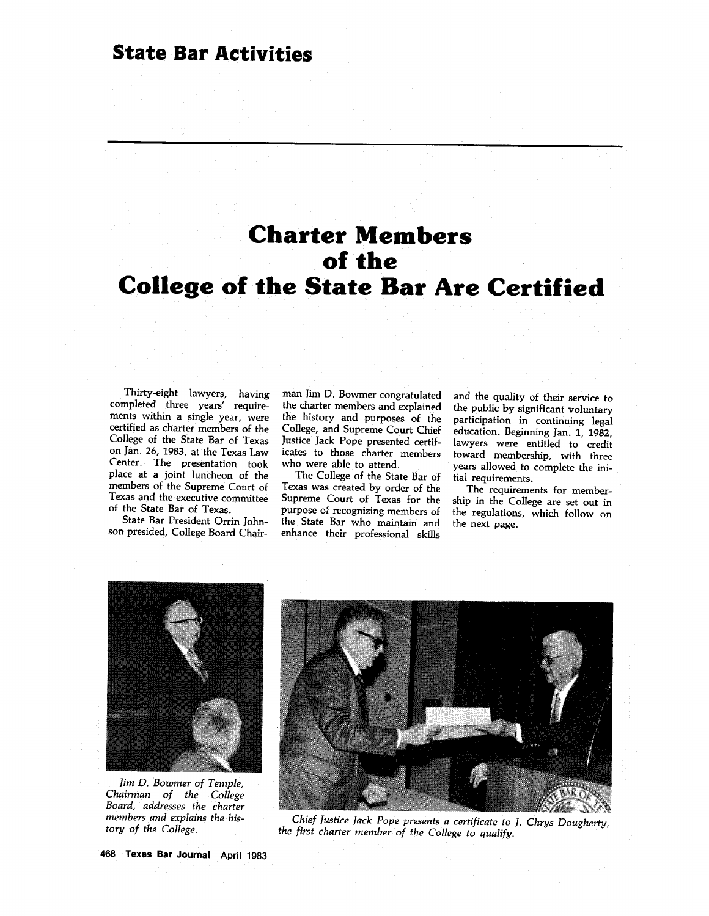# **Charter Members of the College of the State Bar Are Certified**

Thirty-eight lawyers, having completed three years' require-<br>ments within a single year, were certified as charter members of the<br>College of the State Bar of Texas on Jan. 26, 1983, at the Texas Law Center. The presentation took place at a joint luncheon of the members of the Supreme Court of Texas and the executive committee of the State Bar of Texas.

son presided, College Board Chair-

man Jim **D.** Bowmer congratulated the charter members and explained the history and purposes of the College, and Supreme Court Chief Justice Jack Pope presented certificates to those charter members who were able to attend.

The College of the State Bar of Texas was created **by** order of the Supreme Court of Texas for the purpose of recognizing members of the State Bar who maintain and enhance their professional skills

and the quality of their service to the public **by** significant voluntary participation in continuing legal education. Beginning Jan. **1, 1982,** lawyers were entitled to credit toward membership, with three years allowed to complete the initial requirements.

The requirements for membership in the College are set out in the regulations, which follow on the next page.



*Jim D. Bowmer of Temple, Chairman of the College Board, addresses the charter members and explains the history of the College.*



*Chief Justice lack Pope presents a certificate to 1. Chrys Dougherty, the first charter member of the College to qualify.*

**468 Texas Bar Journal April 1983**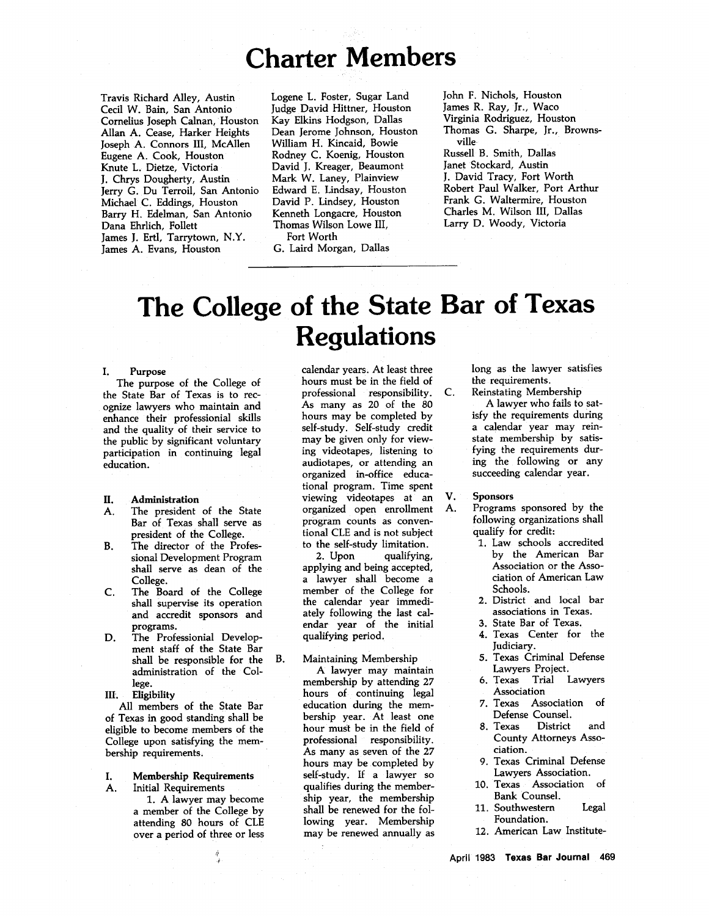# **Charter Members**

Travis Richard Alley, Austin Cecil W. Bain, San Antonio Cornelius Joseph Calnan, Houston Allan **A.** Cease, Harker Heights Joseph **A.** Connors III, McAllen Eugene **A.** Cook, Houston Knute L. Dietze, Victoria **J.** Chrys Dougherty, Austin Jerry **G.** Du Terroil, San Antonio Michael **C.** Eddings, Houston Barry H. Edelman, San Antonio Dana Ehrlich, Follett James **J.** Ertl, Tarrytown, N.Y. James **A.** Evans, Houston

Logene L. Foster, Sugar Land Judge David Hittner, Houston Kay Elkins Hodgson, Dallas Dean Jerome Johnson, Houston William H. Kincaid, Bowie Rodney **C.** Koenig, Houston David **J.** Kreager, Beaumont Mark W. Laney, Plainview Edward **E.** Lindsay, Houston David P. Lindsey, Houston Kenneth Longacre, Houston Thomas Wilson Lowe III, Fort Worth **G.** Laird Morgan, Dallas

John F. Nichols, Houston James R. Ray, Jr., Waco Virginia Rodriguez, Houston Thomas **G.** Sharpe, Jr., Brownsville Russell B. Smith, Dallas Janet Stockard, Austin **J.** David Tracy, Fort Worth Robert Paul Walker, Port Arthur Frank **G.** Waltermire, Houston Charles M. Wilson III, Dallas Larry **D.** Woody, Victoria

# **The College of the State Bar of Texas Regulations**

#### **I.** Purpose

The purpose of the College of the State Bar of Texas is to recognize lawyers who maintain and enhance their professionial skills and the quality of their service to the public **by** significant voluntary participation in continuing legal education.

#### **II.** Administration

- A. The president of the State Bar of Texas shall serve as president of the College.
- B. The director of the Professional Development Program shall serve as dean of the College.
- **C.** The Board of the College shall supervise its operation and accredit sponsors and programs.
- **D.** The Professionial Development staff of the State Bar shall be responsible for the administration of the College.

### **IIL Eligibility**

**All** members of the State Bar of Texas in good standing shall be eligible to become members of the College upon satisfying the membership requirements.

# **I. Membership Requirements**

**A.** Initial Requirements **1.** A lawyer may become a member of the College **by** attending **80** hours of **CLE**

over a period of three or less

calendar years. At least three hours must be in the field of professional responsibility. As many as 20 of the **80** hours may be completed **by** self-study. Self-study credit may be given only for viewing videotapes, listening to audiotapes, or attending an organized in-office educational program. Time spent viewing videotapes at an organized open enrollment program counts as conventional **CLE** and is not subject to the self-study limitation.

2. Upon qualifying, applying and being accepted, a lawyer shall become a member of the College for the calendar year immediately following the last calendar year of the initial qualifying period.

### B. Maintaining Membership

A lawyer may maintain membership **by** attending **27** hours of continuing legal education during the membership year. At least one hour must be in the field of professional responsibility. As many as seven of the **27** hours may be completed **by** self-study. **If** a lawyer so qualifies during the membership year, the membership shall be renewed for the following year. Membership may be renewed annually as long as the lawyer satisfies the requirements.

**2.** Reinstating Membership

**A** lawyer who fails to satisfy the requirements during a calendar year may reinstate membership **by** satisfying the requirements during the following or any succeeding calendar year.

# V. Sponsors

- **A.** Programs sponsored **by** the following organizations shall qualify for credit:
	- **1.** Law schools accredited **by** the American Bar Association or the Association of American Law Schools.
	- **2.** District and local bar associations in Texas.
	- **3.** State Bar of Texas.
	- 4. Texas Center for the Judiciary.
	- **5.** Texas Criminal Defense Lawyers Project.
	- **6.** Texas Trial Lawyers Association
	- **7.** Texas Association of Defense Counsel.
	- **8.** Texas District and County Attorneys Association.
	- **9.** Texas Criminal Defense Lawyers Association.
	- **10.** Texas Association of Bank Counsel.
	- **11.** Southwestern Legal Foundation.
	- 12. American Law Institute-